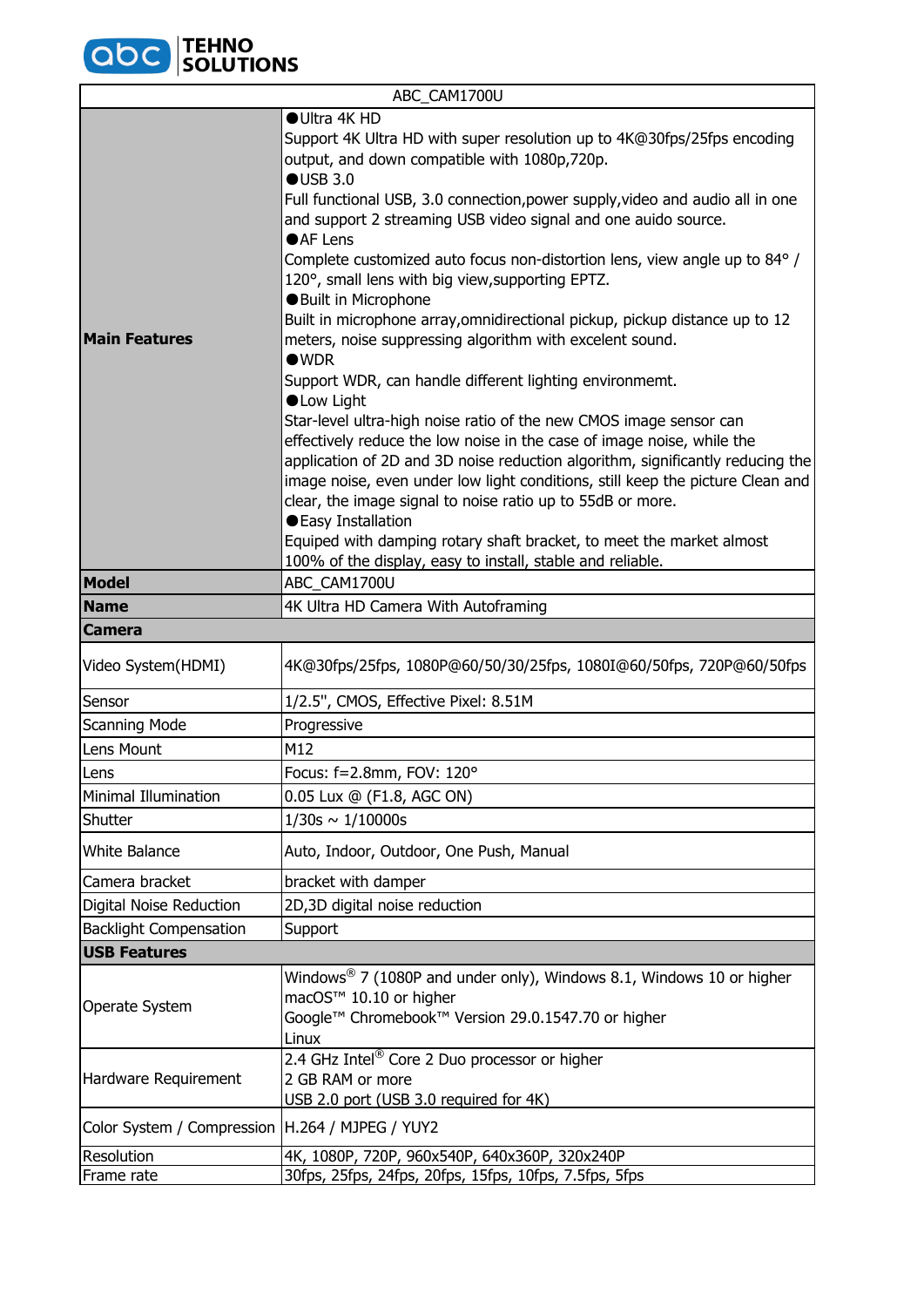

|                                                   | ABC_CAM1700U                                                                                                                                                                                                                                                                                                                                                                                                                                                                                                                                                                                                                                                                                                                                                                                                                                                                                                                                                                                                                                                                                                                                                                                                                                                                  |  |
|---------------------------------------------------|-------------------------------------------------------------------------------------------------------------------------------------------------------------------------------------------------------------------------------------------------------------------------------------------------------------------------------------------------------------------------------------------------------------------------------------------------------------------------------------------------------------------------------------------------------------------------------------------------------------------------------------------------------------------------------------------------------------------------------------------------------------------------------------------------------------------------------------------------------------------------------------------------------------------------------------------------------------------------------------------------------------------------------------------------------------------------------------------------------------------------------------------------------------------------------------------------------------------------------------------------------------------------------|--|
| <b>Main Features</b>                              | ● Ultra 4K HD<br>Support 4K Ultra HD with super resolution up to 4K@30fps/25fps encoding<br>output, and down compatible with 1080p,720p.<br>OUSE 3.0<br>Full functional USB, 3.0 connection, power supply, video and audio all in one<br>and support 2 streaming USB video signal and one auido source.<br>●AF Lens<br>Complete customized auto focus non-distortion lens, view angle up to 84° /<br>120°, small lens with big view, supporting EPTZ.<br><b>Built in Microphone</b><br>Built in microphone array,omnidirectional pickup, pickup distance up to 12<br>meters, noise suppressing algorithm with excelent sound.<br>$\bullet$ WDR<br>Support WDR, can handle different lighting environmemt.<br><b>OLow Light</b><br>Star-level ultra-high noise ratio of the new CMOS image sensor can<br>effectively reduce the low noise in the case of image noise, while the<br>application of 2D and 3D noise reduction algorithm, significantly reducing the<br>image noise, even under low light conditions, still keep the picture Clean and<br>clear, the image signal to noise ratio up to 55dB or more.<br>● Easy Installation<br>Equiped with damping rotary shaft bracket, to meet the market almost<br>100% of the display, easy to install, stable and reliable. |  |
| <b>Model</b>                                      | ABC CAM1700U                                                                                                                                                                                                                                                                                                                                                                                                                                                                                                                                                                                                                                                                                                                                                                                                                                                                                                                                                                                                                                                                                                                                                                                                                                                                  |  |
| <b>Name</b>                                       | 4K Ultra HD Camera With Autoframing                                                                                                                                                                                                                                                                                                                                                                                                                                                                                                                                                                                                                                                                                                                                                                                                                                                                                                                                                                                                                                                                                                                                                                                                                                           |  |
| <b>Camera</b>                                     |                                                                                                                                                                                                                                                                                                                                                                                                                                                                                                                                                                                                                                                                                                                                                                                                                                                                                                                                                                                                                                                                                                                                                                                                                                                                               |  |
| Video System(HDMI)                                | 4K@30fps/25fps, 1080P@60/50/30/25fps, 1080I@60/50fps, 720P@60/50fps                                                                                                                                                                                                                                                                                                                                                                                                                                                                                                                                                                                                                                                                                                                                                                                                                                                                                                                                                                                                                                                                                                                                                                                                           |  |
| Sensor                                            | 1/2.5", CMOS, Effective Pixel: 8.51M                                                                                                                                                                                                                                                                                                                                                                                                                                                                                                                                                                                                                                                                                                                                                                                                                                                                                                                                                                                                                                                                                                                                                                                                                                          |  |
| <b>Scanning Mode</b>                              | Progressive                                                                                                                                                                                                                                                                                                                                                                                                                                                                                                                                                                                                                                                                                                                                                                                                                                                                                                                                                                                                                                                                                                                                                                                                                                                                   |  |
| Lens Mount                                        | M12                                                                                                                                                                                                                                                                                                                                                                                                                                                                                                                                                                                                                                                                                                                                                                                                                                                                                                                                                                                                                                                                                                                                                                                                                                                                           |  |
| Lens                                              | Focus: f=2.8mm, FOV: 120°                                                                                                                                                                                                                                                                                                                                                                                                                                                                                                                                                                                                                                                                                                                                                                                                                                                                                                                                                                                                                                                                                                                                                                                                                                                     |  |
| <b>Minimal Illumination</b>                       | 0.05 Lux @ (F1.8, AGC ON)                                                                                                                                                                                                                                                                                                                                                                                                                                                                                                                                                                                                                                                                                                                                                                                                                                                                                                                                                                                                                                                                                                                                                                                                                                                     |  |
| Shutter                                           | $1/30s \sim 1/10000s$                                                                                                                                                                                                                                                                                                                                                                                                                                                                                                                                                                                                                                                                                                                                                                                                                                                                                                                                                                                                                                                                                                                                                                                                                                                         |  |
| <b>White Balance</b>                              | Auto, Indoor, Outdoor, One Push, Manual                                                                                                                                                                                                                                                                                                                                                                                                                                                                                                                                                                                                                                                                                                                                                                                                                                                                                                                                                                                                                                                                                                                                                                                                                                       |  |
| Camera bracket                                    | bracket with damper                                                                                                                                                                                                                                                                                                                                                                                                                                                                                                                                                                                                                                                                                                                                                                                                                                                                                                                                                                                                                                                                                                                                                                                                                                                           |  |
| Digital Noise Reduction                           | 2D,3D digital noise reduction                                                                                                                                                                                                                                                                                                                                                                                                                                                                                                                                                                                                                                                                                                                                                                                                                                                                                                                                                                                                                                                                                                                                                                                                                                                 |  |
| <b>Backlight Compensation</b>                     | Support                                                                                                                                                                                                                                                                                                                                                                                                                                                                                                                                                                                                                                                                                                                                                                                                                                                                                                                                                                                                                                                                                                                                                                                                                                                                       |  |
| <b>USB Features</b>                               |                                                                                                                                                                                                                                                                                                                                                                                                                                                                                                                                                                                                                                                                                                                                                                                                                                                                                                                                                                                                                                                                                                                                                                                                                                                                               |  |
| Operate System                                    | Windows $^{\circledR}$ 7 (1080P and under only), Windows 8.1, Windows 10 or higher<br>macOS™ 10.10 or higher<br>Google™ Chromebook™ Version 29.0.1547.70 or higher<br>Linux                                                                                                                                                                                                                                                                                                                                                                                                                                                                                                                                                                                                                                                                                                                                                                                                                                                                                                                                                                                                                                                                                                   |  |
| Hardware Requirement                              | 2.4 GHz Intel <sup>®</sup> Core 2 Duo processor or higher<br>2 GB RAM or more<br>USB 2.0 port (USB 3.0 required for 4K)                                                                                                                                                                                                                                                                                                                                                                                                                                                                                                                                                                                                                                                                                                                                                                                                                                                                                                                                                                                                                                                                                                                                                       |  |
| Color System / Compression   H.264 / MJPEG / YUY2 |                                                                                                                                                                                                                                                                                                                                                                                                                                                                                                                                                                                                                                                                                                                                                                                                                                                                                                                                                                                                                                                                                                                                                                                                                                                                               |  |
| Resolution                                        | 4K, 1080P, 720P, 960x540P, 640x360P, 320x240P                                                                                                                                                                                                                                                                                                                                                                                                                                                                                                                                                                                                                                                                                                                                                                                                                                                                                                                                                                                                                                                                                                                                                                                                                                 |  |
| Frame rate                                        | 30fps, 25fps, 24fps, 20fps, 15fps, 10fps, 7.5fps, 5fps                                                                                                                                                                                                                                                                                                                                                                                                                                                                                                                                                                                                                                                                                                                                                                                                                                                                                                                                                                                                                                                                                                                                                                                                                        |  |